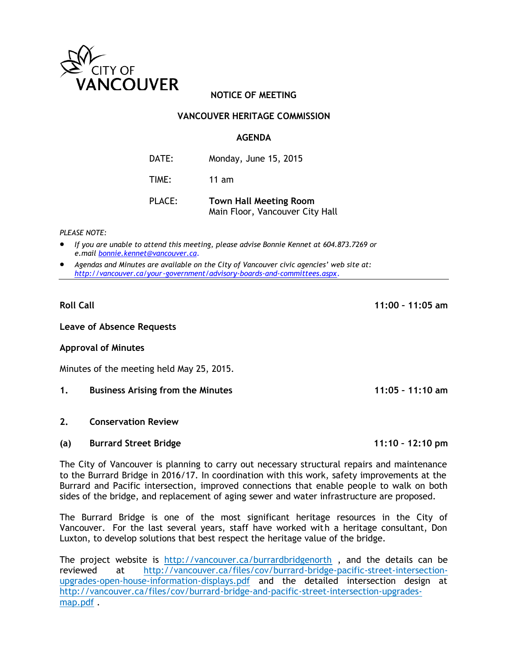

# **NOTICE OF MEETING**

## **VANCOUVER HERITAGE COMMISSION**

#### **AGENDA**

DATE: Monday, June 15, 2015 TIME: 11 am

PLACE: **Town Hall Meeting Room** Main Floor, Vancouver City Hall

*PLEASE NOTE:*

- *If you are unable to attend this meeting, please advise Bonnie Kennet at 604.873.7269 or e.mail [bonnie.kennet@vancouver.ca](mailto:bonnie.kennet@vancouver.ca)*.
- *Agendas and Minutes are available on the City of Vancouver civic agencies' web site at: <http://vancouver.ca/your-government/advisory-boards-and-committees.aspx>*.

**Leave of Absence Requests**

#### **Approval of Minutes**

Minutes of the meeting held May 25, 2015.

- **1. Business Arising from the Minutes 11:05 – 11:10 am**
- **2. Conservation Review**
- **(a) Burrard Street Bridge 11:10 – 12:10 pm**

The City of Vancouver is planning to carry out necessary structural repairs and maintenance to the Burrard Bridge in 2016/17. In coordination with this work, safety improvements at the Burrard and Pacific intersection, improved connections that enable people to walk on both sides of the bridge, and replacement of aging sewer and water infrastructure are proposed.

The Burrard Bridge is one of the most significant heritage resources in the City of Vancouver. For the last several years, staff have worked with a heritage consultant, Don Luxton, to develop solutions that best respect the heritage value of the bridge.

The project website is <http://vancouver.ca/burrardbridgenorth> , and the details can be reviewed at [http://vancouver.ca/files/cov/burrard-bridge-pacific-street-intersection](http://vancouver.ca/files/cov/burrard-bridge-pacific-street-intersection-upgrades-open-house-information-displays.pdf)[upgrades-open-house-information-displays.pdf](http://vancouver.ca/files/cov/burrard-bridge-pacific-street-intersection-upgrades-open-house-information-displays.pdf) and the detailed intersection design at [http://vancouver.ca/files/cov/burrard-bridge-and-pacific-street-intersection-upgrades](http://vancouver.ca/files/cov/burrard-bridge-and-pacific-street-intersection-upgrades-map.pdf)[map.pdf](http://vancouver.ca/files/cov/burrard-bridge-and-pacific-street-intersection-upgrades-map.pdf) .

**Roll Call 11:00 – 11:05 am**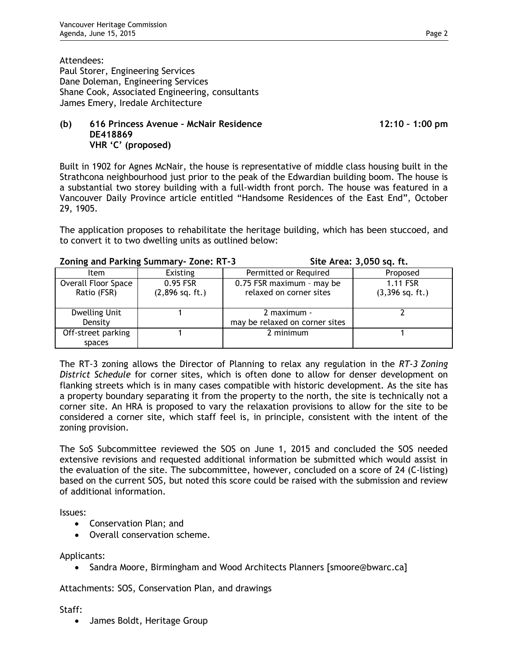Attendees: Paul Storer, Engineering Services Dane Doleman, Engineering Services Shane Cook, Associated Engineering, consultants James Emery, Iredale Architecture

## **(b) 616 Princess Avenue – McNair Residence 12:10 – 1:00 pm DE418869 VHR 'C' (proposed)**

Built in 1902 for Agnes McNair, the house is representative of middle class housing built in the Strathcona neighbourhood just prior to the peak of the Edwardian building boom. The house is a substantial two storey building with a full-width front porch. The house was featured in a Vancouver Daily Province article entitled "Handsome Residences of the East End", October 29, 1905.

The application proposes to rehabilitate the heritage building, which has been stuccoed, and to convert it to two dwelling units as outlined below:

## **Zoning and Parking Summary- Zone: RT-3 Site Area: 3,050 sq. ft.**

| Item                               | <b>Existing</b>                 | Permitted or Required                                | Proposed                      |
|------------------------------------|---------------------------------|------------------------------------------------------|-------------------------------|
| Overall Floor Space<br>Ratio (FSR) | $0.95$ FSR<br>$(2,896$ sq. ft.) | 0.75 FSR maximum - may be<br>relaxed on corner sites | 1.11 FSR<br>$(3,396$ sq. ft.) |
| Dwelling Unit<br>Density           |                                 | 2 maximum -<br>may be relaxed on corner sites        |                               |
| Off-street parking<br>spaces       |                                 | 2 minimum                                            |                               |

The RT-3 zoning allows the Director of Planning to relax any regulation in the *RT-3 Zoning District Schedule* for corner sites, which is often done to allow for denser development on flanking streets which is in many cases compatible with historic development. As the site has a property boundary separating it from the property to the north, the site is technically not a corner site. An HRA is proposed to vary the relaxation provisions to allow for the site to be considered a corner site, which staff feel is, in principle, consistent with the intent of the zoning provision.

The SoS Subcommittee reviewed the SOS on June 1, 2015 and concluded the SOS needed extensive revisions and requested additional information be submitted which would assist in the evaluation of the site. The subcommittee, however, concluded on a score of 24 (C-listing) based on the current SOS, but noted this score could be raised with the submission and review of additional information.

Issues:

- Conservation Plan; and
- Overall conservation scheme.

Applicants:

• Sandra Moore, Birmingham and Wood Architects Planners [smoore@bwarc.ca]

Attachments: SOS, Conservation Plan, and drawings

## Staff:

• James Boldt, Heritage Group